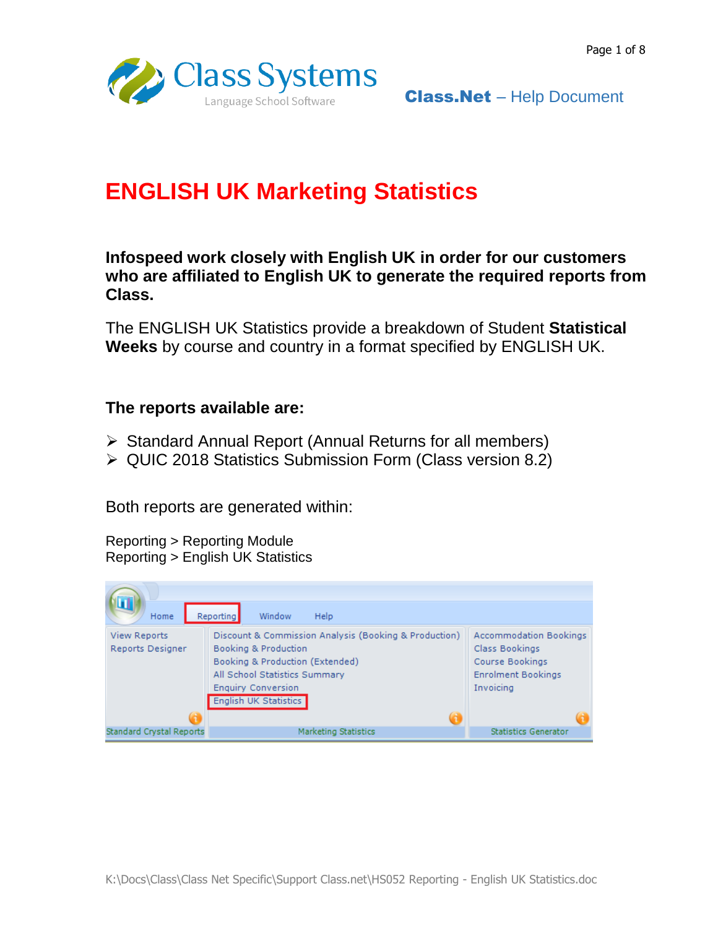

Class.Net – Help Document

# **ENGLISH UK Marketing Statistics**

# **Infospeed work closely with English UK in order for our customers who are affiliated to English UK to generate the required reports from Class.**

The ENGLISH UK Statistics provide a breakdown of Student **Statistical Weeks** by course and country in a format specified by ENGLISH UK.

# **The reports available are:**

- ➢ Standard Annual Report (Annual Returns for all members)
- ➢ QUIC 2018 Statistics Submission Form (Class version 8.2)

Both reports are generated within:

Reporting > Reporting Module Reporting > English UK Statistics

| Home                                    | Window<br>Reporting<br><b>Help</b>                                                                                                                                                                             |                                                                                                                     |
|-----------------------------------------|----------------------------------------------------------------------------------------------------------------------------------------------------------------------------------------------------------------|---------------------------------------------------------------------------------------------------------------------|
| <b>View Reports</b><br>Reports Designer | Discount & Commission Analysis (Booking & Production)<br>Booking & Production<br>Booking & Production (Extended)<br>All School Statistics Summary<br><b>Enquiry Conversion</b><br><b>English UK Statistics</b> | <b>Accommodation Bookings</b><br><b>Class Bookings</b><br>Course Bookings<br><b>Enrolment Bookings</b><br>Invoicing |
| <b>Standard Crystal Reports</b>         | Marketing Statistics                                                                                                                                                                                           | <b>Statistics Generator</b>                                                                                         |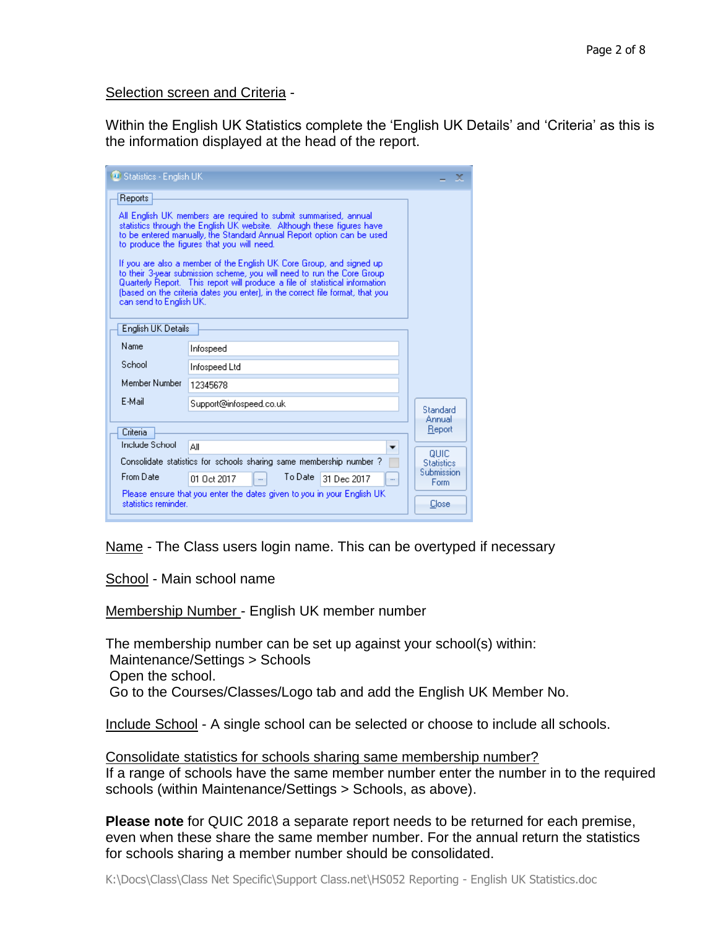#### Selection screen and Criteria -

Within the English UK Statistics complete the 'English UK Details' and 'Criteria' as this is the information displayed at the head of the report.

| <b>E.</b> Statistics - English UK         |                                                                                                                                                                                                                                                                                                                                                                                                                                                                                                                                                                                      |                                 |  |
|-------------------------------------------|--------------------------------------------------------------------------------------------------------------------------------------------------------------------------------------------------------------------------------------------------------------------------------------------------------------------------------------------------------------------------------------------------------------------------------------------------------------------------------------------------------------------------------------------------------------------------------------|---------------------------------|--|
| <b>Reports</b><br>can send to English UK. | All English UK members are required to submit summarised, annual<br>statistics through the English UK website. Although these figures have<br>to be entered manually, the Standard Annual Report option can be used<br>to produce the figures that you will need.<br>If you are also a member of the English UK Core Group, and signed up<br>to their 3-year submission scheme, you will need to run the Core Group<br>Quarterly Report. This report will produce a file of statistical information<br>(based on the criteria dates you enter), in the correct file format, that you |                                 |  |
| English UK Details                        |                                                                                                                                                                                                                                                                                                                                                                                                                                                                                                                                                                                      |                                 |  |
| Name                                      | Infospeed                                                                                                                                                                                                                                                                                                                                                                                                                                                                                                                                                                            |                                 |  |
| School                                    | Infospeed Ltd                                                                                                                                                                                                                                                                                                                                                                                                                                                                                                                                                                        |                                 |  |
| Member Number                             | 12345678                                                                                                                                                                                                                                                                                                                                                                                                                                                                                                                                                                             |                                 |  |
| E-Mail                                    | Support@infospeed.co.uk                                                                                                                                                                                                                                                                                                                                                                                                                                                                                                                                                              | Standard<br>Annual              |  |
| Criteria                                  |                                                                                                                                                                                                                                                                                                                                                                                                                                                                                                                                                                                      | Report                          |  |
| Include School                            | ΑI                                                                                                                                                                                                                                                                                                                                                                                                                                                                                                                                                                                   | QUIC                            |  |
|                                           | Consolidate statistics for schools sharing same membership number?                                                                                                                                                                                                                                                                                                                                                                                                                                                                                                                   | <b>Statistics</b><br>Submission |  |
| From Date                                 | To Date<br>01 Oct 2017<br>31 Dec 2017<br>$\cdots$                                                                                                                                                                                                                                                                                                                                                                                                                                                                                                                                    | Form.                           |  |
| statistics reminder.                      | Please ensure that you enter the dates given to you in your English UK                                                                                                                                                                                                                                                                                                                                                                                                                                                                                                               | Close                           |  |

Name - The Class users login name. This can be overtyped if necessary

School - Main school name

Membership Number - English UK member number

The membership number can be set up against your school(s) within: Maintenance/Settings > Schools Open the school. Go to the Courses/Classes/Logo tab and add the English UK Member No.

Include School - A single school can be selected or choose to include all schools.

Consolidate statistics for schools sharing same membership number? If a range of schools have the same member number enter the number in to the required schools (within Maintenance/Settings > Schools, as above).

**Please note** for QUIC 2018 a separate report needs to be returned for each premise, even when these share the same member number. For the annual return the statistics for schools sharing a member number should be consolidated.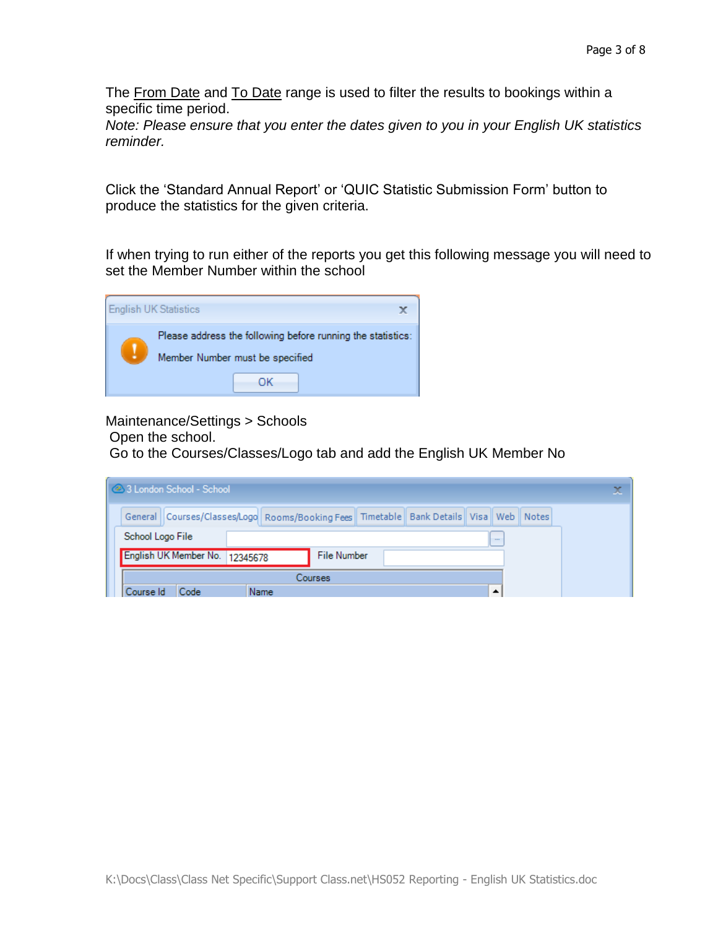The From Date and To Date range is used to filter the results to bookings within a specific time period.

*Note: Please ensure that you enter the dates given to you in your English UK statistics reminder.*

Click the 'Standard Annual Report' or 'QUIC Statistic Submission Form' button to produce the statistics for the given criteria.

If when trying to run either of the reports you get this following message you will need to set the Member Number within the school

| <b>English UK Statistics</b>                                                                   |
|------------------------------------------------------------------------------------------------|
| Please address the following before running the statistics:<br>Member Number must be specified |
|                                                                                                |

Maintenance/Settings > Schools

Open the school.

Go to the Courses/Classes/Logo tab and add the English UK Member No

| 2 3 London School - School                                                                          | x |
|-----------------------------------------------------------------------------------------------------|---|
| General   Courses/Classes/Logo   Rooms/Booking Fees   Timetable   Bank Details   Visa   Web   Notes |   |
| School Logo File<br>$\sim$                                                                          |   |
| English UK Member No. 12345678<br><b>File Number</b>                                                |   |
| Courses                                                                                             |   |
| Course Id<br>Code<br>Name                                                                           |   |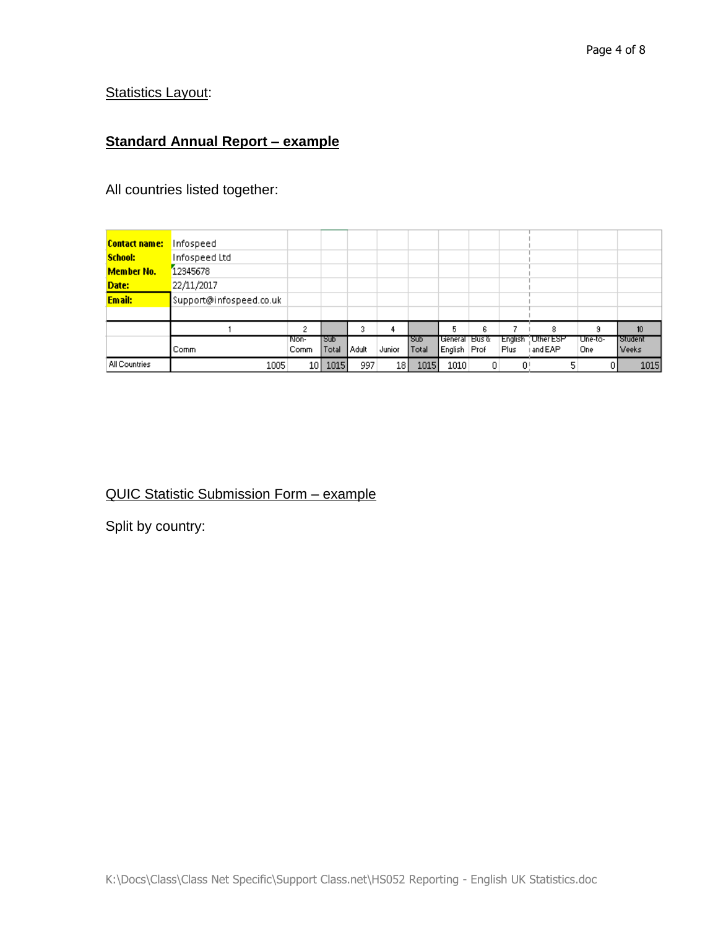## **Statistics Layout:**

## **Standard Annual Report – example**

All countries listed together:

| <b>Contact name:</b> | Infospeed               |              |                     |       |        |              |                      |                |                 |                               |                |                      |
|----------------------|-------------------------|--------------|---------------------|-------|--------|--------------|----------------------|----------------|-----------------|-------------------------------|----------------|----------------------|
| School:              | Infospeed Ltd           |              |                     |       |        |              |                      |                |                 |                               |                |                      |
| <b>Member No.</b>    | 12345678                |              |                     |       |        |              |                      |                |                 |                               |                |                      |
| Date:                | 22/11/2017              |              |                     |       |        |              |                      |                |                 |                               |                |                      |
| <b>Email:</b>        | Support@infospeed.co.uk |              |                     |       |        |              |                      |                |                 |                               |                |                      |
|                      |                         |              |                     |       |        |              |                      |                |                 |                               |                |                      |
|                      |                         | ۰            |                     | 3     | 4      |              |                      | 6              |                 | 8                             | 9              | 10 <sub>10</sub>     |
|                      | Comm                    | Non-<br>Comm | <b>Sub</b><br>Total | Adult | Junior | Sub<br>Total | l General<br>English | ⊺Bus &<br>Prof | English<br>Plus | <b>UtherESP</b><br>i and EAP. | Une-to-<br>One | l Student<br>  Weeks |
| All Countries        | 1005                    | 10           | 1015                | 997   | 18     | 1015         | 1010                 | 0              | $\mathbf{0}$    |                               |                | 1015                 |

# QUIC Statistic Submission Form – example

Split by country: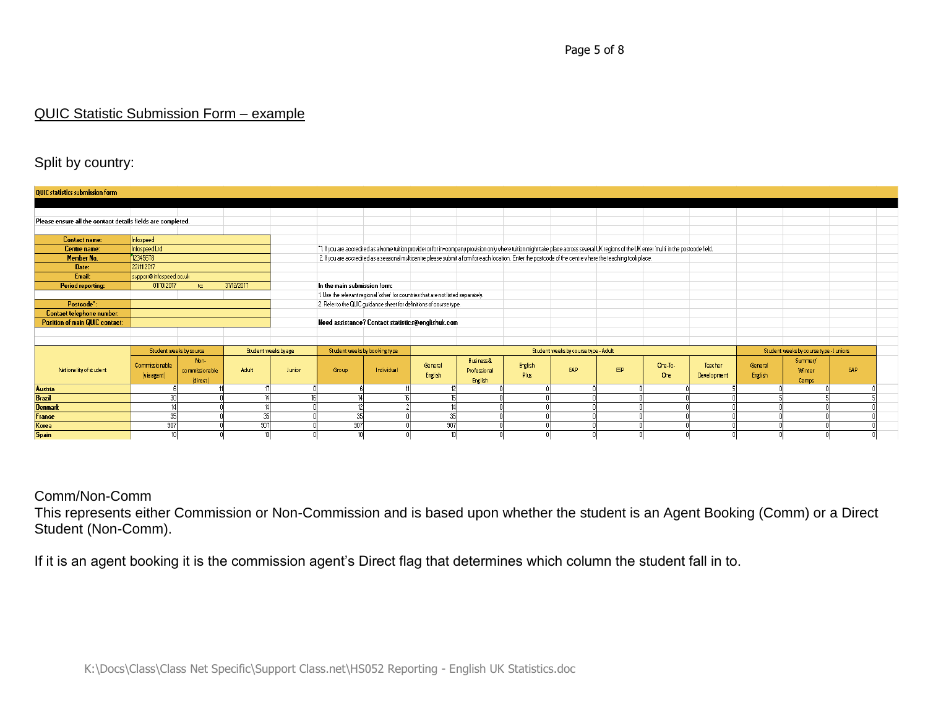#### QUIC Statistic Submission Form – example

## Split by country:

| QUIC statistics submission form                                                                                                                                                                                                                                                                                                                                                                                                                                                                                                                                                                                                                                                                                                                                                                                                                                                                                                                                                                                                                                                                                         |                                                                                            |                                    |       |        |       |            |                    |                                       |                  |     |            |                |                        |                    |                                   |      |  |
|-------------------------------------------------------------------------------------------------------------------------------------------------------------------------------------------------------------------------------------------------------------------------------------------------------------------------------------------------------------------------------------------------------------------------------------------------------------------------------------------------------------------------------------------------------------------------------------------------------------------------------------------------------------------------------------------------------------------------------------------------------------------------------------------------------------------------------------------------------------------------------------------------------------------------------------------------------------------------------------------------------------------------------------------------------------------------------------------------------------------------|--------------------------------------------------------------------------------------------|------------------------------------|-------|--------|-------|------------|--------------------|---------------------------------------|------------------|-----|------------|----------------|------------------------|--------------------|-----------------------------------|------|--|
|                                                                                                                                                                                                                                                                                                                                                                                                                                                                                                                                                                                                                                                                                                                                                                                                                                                                                                                                                                                                                                                                                                                         |                                                                                            |                                    |       |        |       |            |                    |                                       |                  |     |            |                |                        |                    |                                   |      |  |
|                                                                                                                                                                                                                                                                                                                                                                                                                                                                                                                                                                                                                                                                                                                                                                                                                                                                                                                                                                                                                                                                                                                         |                                                                                            |                                    |       |        |       |            |                    |                                       |                  |     |            |                |                        |                    |                                   |      |  |
|                                                                                                                                                                                                                                                                                                                                                                                                                                                                                                                                                                                                                                                                                                                                                                                                                                                                                                                                                                                                                                                                                                                         |                                                                                            |                                    |       |        |       |            |                    |                                       |                  |     |            |                |                        |                    |                                   |      |  |
|                                                                                                                                                                                                                                                                                                                                                                                                                                                                                                                                                                                                                                                                                                                                                                                                                                                                                                                                                                                                                                                                                                                         |                                                                                            |                                    |       |        |       |            |                    |                                       |                  |     |            |                |                        |                    |                                   |      |  |
|                                                                                                                                                                                                                                                                                                                                                                                                                                                                                                                                                                                                                                                                                                                                                                                                                                                                                                                                                                                                                                                                                                                         |                                                                                            |                                    |       |        |       |            |                    |                                       |                  |     |            |                |                        |                    |                                   |      |  |
|                                                                                                                                                                                                                                                                                                                                                                                                                                                                                                                                                                                                                                                                                                                                                                                                                                                                                                                                                                                                                                                                                                                         |                                                                                            |                                    |       |        |       |            |                    |                                       |                  |     |            |                |                        |                    |                                   |      |  |
|                                                                                                                                                                                                                                                                                                                                                                                                                                                                                                                                                                                                                                                                                                                                                                                                                                                                                                                                                                                                                                                                                                                         |                                                                                            |                                    |       |        |       |            |                    |                                       |                  |     |            |                |                        |                    |                                   |      |  |
| Date:                                                                                                                                                                                                                                                                                                                                                                                                                                                                                                                                                                                                                                                                                                                                                                                                                                                                                                                                                                                                                                                                                                                   |                                                                                            |                                    |       |        |       |            |                    |                                       |                  |     |            |                |                        |                    |                                   |      |  |
| <b>Email:</b>                                                                                                                                                                                                                                                                                                                                                                                                                                                                                                                                                                                                                                                                                                                                                                                                                                                                                                                                                                                                                                                                                                           | support@infospeed.co.uk<br>31/12/2017<br>In the main submission form:<br>01/10/2017<br>to: |                                    |       |        |       |            |                    |                                       |                  |     |            |                |                        |                    |                                   |      |  |
| Period reporting:                                                                                                                                                                                                                                                                                                                                                                                                                                                                                                                                                                                                                                                                                                                                                                                                                                                                                                                                                                                                                                                                                                       |                                                                                            |                                    |       |        |       |            |                    |                                       |                  |     |            |                |                        |                    |                                   |      |  |
|                                                                                                                                                                                                                                                                                                                                                                                                                                                                                                                                                                                                                                                                                                                                                                                                                                                                                                                                                                                                                                                                                                                         |                                                                                            |                                    |       |        |       |            |                    |                                       |                  |     |            |                |                        |                    |                                   |      |  |
| Postcode":                                                                                                                                                                                                                                                                                                                                                                                                                                                                                                                                                                                                                                                                                                                                                                                                                                                                                                                                                                                                                                                                                                              |                                                                                            |                                    |       |        |       |            |                    |                                       |                  |     |            |                |                        |                    |                                   |      |  |
| Contact telephone number:                                                                                                                                                                                                                                                                                                                                                                                                                                                                                                                                                                                                                                                                                                                                                                                                                                                                                                                                                                                                                                                                                               |                                                                                            |                                    |       |        |       |            |                    |                                       |                  |     |            |                |                        |                    |                                   |      |  |
| Position of main QUIC contact:                                                                                                                                                                                                                                                                                                                                                                                                                                                                                                                                                                                                                                                                                                                                                                                                                                                                                                                                                                                                                                                                                          |                                                                                            |                                    |       |        |       |            |                    |                                       |                  |     |            |                |                        |                    |                                   |      |  |
|                                                                                                                                                                                                                                                                                                                                                                                                                                                                                                                                                                                                                                                                                                                                                                                                                                                                                                                                                                                                                                                                                                                         |                                                                                            |                                    |       |        |       |            |                    |                                       |                  |     |            |                |                        |                    |                                   |      |  |
|                                                                                                                                                                                                                                                                                                                                                                                                                                                                                                                                                                                                                                                                                                                                                                                                                                                                                                                                                                                                                                                                                                                         |                                                                                            |                                    |       |        |       |            |                    |                                       |                  |     |            |                |                        |                    |                                   |      |  |
|                                                                                                                                                                                                                                                                                                                                                                                                                                                                                                                                                                                                                                                                                                                                                                                                                                                                                                                                                                                                                                                                                                                         |                                                                                            |                                    |       |        |       |            |                    |                                       |                  |     |            |                |                        |                    |                                   |      |  |
| Nationality of student                                                                                                                                                                                                                                                                                                                                                                                                                                                                                                                                                                                                                                                                                                                                                                                                                                                                                                                                                                                                                                                                                                  | Commissionable<br>(via agent)                                                              | Non-<br>commissionable<br>(direct) | Adult | Junior | Group | Individual | General<br>English | Business &<br>Professional<br>English | English<br>Plus. | EAP | <b>ESP</b> | One-To-<br>One | Teacher<br>Development | General<br>English | Summer/<br><b>Winter</b><br>Camps | EAP. |  |
| Please ensure all the contact details fields are completed.<br>Infospeed<br><b>Contact name:</b><br>1. If you are accredited as a home tuition provider or for in-company provision only where tuition might take place across several UK regions of the UK enter multi in the postcode field.<br><b>Centre name:</b><br>InfospeedLtd<br>12345678<br><b>Member No.</b><br>2. If you are accredited as a seasonal multicentre please submit a form for each location. Enter the postcode of the centre where the teaching took place.<br>22/11/2017<br>1. Use the relevant regional 'other' for countries that are not listed separately.<br>2. Refer to the QUIC guidance sheet for definitions of course type.<br>Need assistance? Contact statistics@englishuk.com<br>Student weeks by booking type<br>Student weeks by source<br>Student weeks by age<br>Student weeks by course type - Adult<br>Student weeks by course type - Juniors<br>17<br>Austria<br>30 <sup>1</sup><br>$f_{\rm B}$<br>14<br>AA<br>301<br>×.<br>14<br>AA<br>35<br>35<br>35<br>35<br>ΩI<br>907<br>907<br>907<br>907<br>tol.<br>10 <sup>1</sup> |                                                                                            |                                    |       |        |       |            |                    |                                       |                  |     |            |                |                        |                    |                                   |      |  |
| <b>Brazil</b>                                                                                                                                                                                                                                                                                                                                                                                                                                                                                                                                                                                                                                                                                                                                                                                                                                                                                                                                                                                                                                                                                                           |                                                                                            |                                    |       |        |       |            |                    |                                       |                  |     |            |                |                        |                    |                                   |      |  |
| <b>Denmark</b>                                                                                                                                                                                                                                                                                                                                                                                                                                                                                                                                                                                                                                                                                                                                                                                                                                                                                                                                                                                                                                                                                                          |                                                                                            |                                    |       |        |       |            |                    |                                       |                  |     |            |                |                        |                    |                                   |      |  |
| <b>France</b>                                                                                                                                                                                                                                                                                                                                                                                                                                                                                                                                                                                                                                                                                                                                                                                                                                                                                                                                                                                                                                                                                                           |                                                                                            |                                    |       |        |       |            |                    |                                       |                  |     |            |                |                        |                    |                                   |      |  |
| Korea                                                                                                                                                                                                                                                                                                                                                                                                                                                                                                                                                                                                                                                                                                                                                                                                                                                                                                                                                                                                                                                                                                                   |                                                                                            |                                    |       |        |       |            |                    |                                       |                  |     |            |                |                        |                    |                                   |      |  |
| <b>Spain</b>                                                                                                                                                                                                                                                                                                                                                                                                                                                                                                                                                                                                                                                                                                                                                                                                                                                                                                                                                                                                                                                                                                            |                                                                                            |                                    |       |        |       |            |                    |                                       |                  |     |            |                |                        |                    |                                   |      |  |

### Comm/Non-Comm

This represents either Commission or Non-Commission and is based upon whether the student is an Agent Booking (Comm) or a Direct Student (Non-Comm).

If it is an agent booking it is the commission agent's Direct flag that determines which column the student fall in to.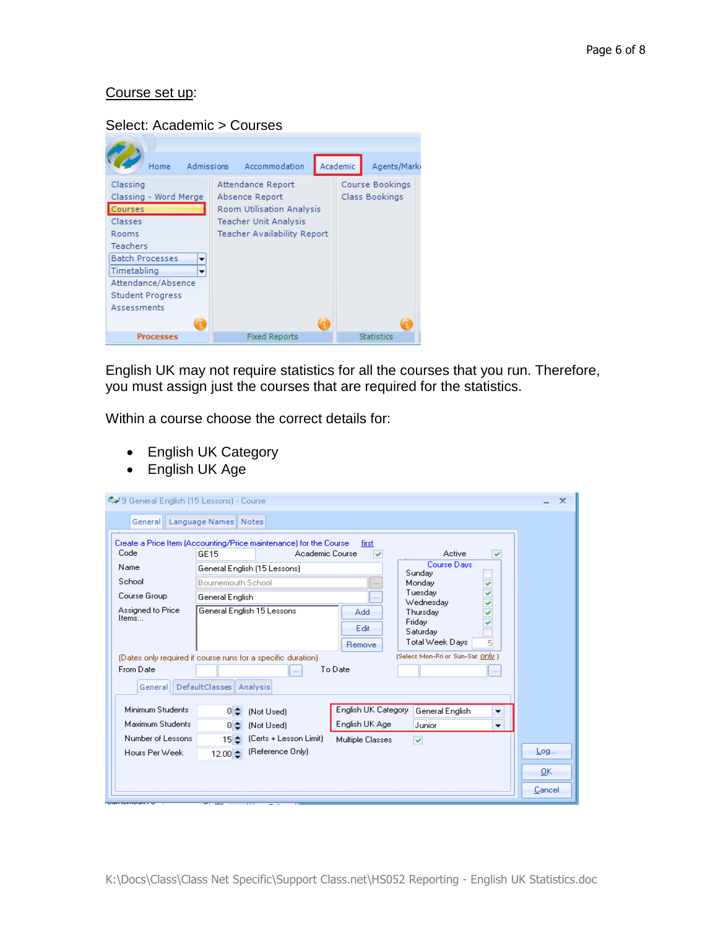#### Course set up:

#### Select: Academic > Courses

| Home<br>Admissions                                                                                                                                                                           | Accommodation                                                                                                                          | Academic | Agents/Mark                       |
|----------------------------------------------------------------------------------------------------------------------------------------------------------------------------------------------|----------------------------------------------------------------------------------------------------------------------------------------|----------|-----------------------------------|
| Classing<br>Classing - Word Merge<br>Courses<br>Classes<br>Rooms<br><b>Teachers</b><br><b>Batch Processes</b><br>Timetabling<br>Attendance/Absence<br>Student Progress<br><b>Assessments</b> | Attendance Report<br>Absence Report<br>Room Utilisation Analysis<br><b>Teacher Unit Analysis</b><br><b>Teacher Availability Report</b> |          | Course Bookings<br>Class Bookings |
| <b>Processes</b>                                                                                                                                                                             | <b>Fixed Reports</b>                                                                                                                   |          | <b>Statistics</b>                 |

English UK may not require statistics for all the courses that you run. Therefore, you must assign just the courses that are required for the statistics.

Within a course choose the correct details for:

- English UK Category
- English UK Age

| 429 General English (15 Lessons) - Course                                  |                    |                                                                   |                     |                                  |                          | $\mathbf{x}$ |
|----------------------------------------------------------------------------|--------------------|-------------------------------------------------------------------|---------------------|----------------------------------|--------------------------|--------------|
| General Language Names Notes                                               |                    | Create a Price Item (Accounting/Price maintenance) for the Course | first               |                                  |                          |              |
| Code                                                                       | <b>GE15</b>        | Academic Course                                                   | v                   | Active                           | v                        |              |
| Name                                                                       |                    | General English (15 Lessons)                                      |                     | Course Davs<br>Sunday            |                          |              |
| School                                                                     | Bournemouth School |                                                                   |                     | Monday                           |                          |              |
| Course Group                                                               | General English    |                                                                   |                     | Tuesday<br>Wednesday             |                          |              |
| Assigned to Price<br>Items                                                 |                    | General English 15 Lessons                                        | Add                 | Thursday<br>Friday               |                          |              |
|                                                                            |                    |                                                                   | Edit                | Saturday                         |                          |              |
|                                                                            |                    |                                                                   | Remove              | Total Week Days<br>5             |                          |              |
| (Dates only required if course runs for a specific duration).<br>From Date |                    |                                                                   | To Date             | (Select Mon-Fri or Sun-Sat Only) |                          |              |
|                                                                            |                    |                                                                   |                     |                                  |                          |              |
| General DefaultClasses Analysis                                            |                    |                                                                   |                     |                                  |                          |              |
| Minimum Students                                                           | $0 \triangleq$     | (Not Used)                                                        | English UK Category | General English                  |                          |              |
| <b>Maximum Students</b>                                                    | $0 \triangleq$     | (Not Used)                                                        | English UK Age      | Junior                           | $\overline{\phantom{a}}$ |              |
| Number of Lessons                                                          | $15 -$             | (Certs + Lesson Limit)                                            | Multiple Classes    | $\overline{\mathbf{v}}$          |                          |              |
| Hours Per Week                                                             | $12.00 \div$       | (Reference Only)                                                  |                     |                                  |                          | Log          |
|                                                                            |                    |                                                                   |                     |                                  |                          | <b>DK</b>    |
|                                                                            |                    |                                                                   |                     |                                  |                          | Cancel       |
| <b>COMMUNITY</b>                                                           |                    |                                                                   |                     |                                  |                          |              |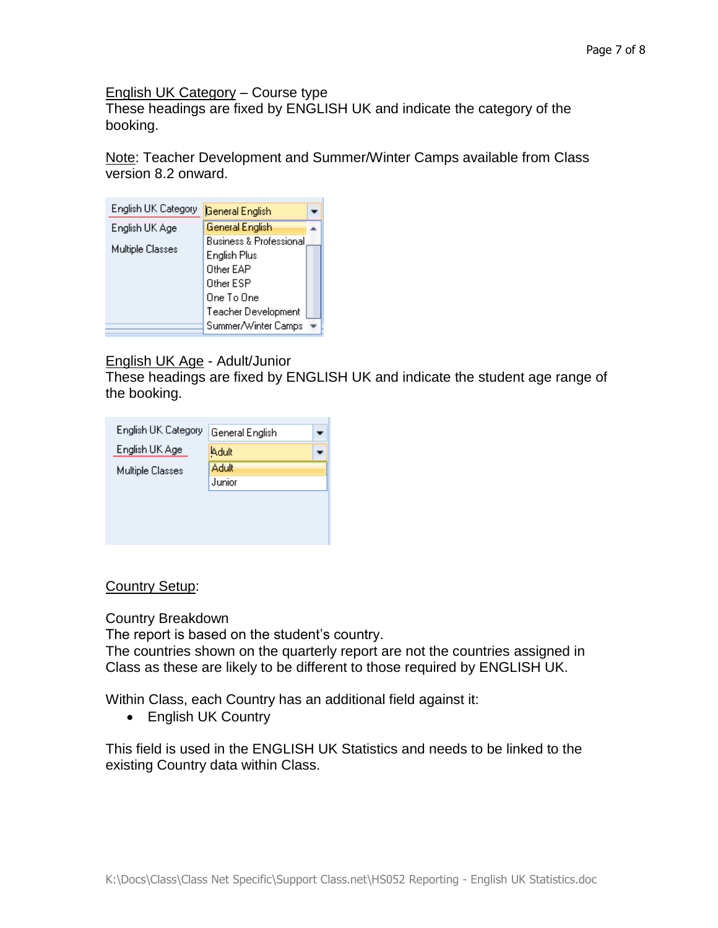English UK Category – Course type

These headings are fixed by ENGLISH UK and indicate the category of the booking.

Note: Teacher Development and Summer/Winter Camps available from Class version 8.2 onward.



## English UK Age - Adult/Junior

These headings are fixed by ENGLISH UK and indicate the student age range of the booking.

| English UK Category     | General English |
|-------------------------|-----------------|
| English UK Age          | Adult           |
| <b>Multiple Classes</b> | Adult           |
|                         | Junior          |
|                         |                 |
|                         |                 |
|                         |                 |

Country Setup:

Country Breakdown

The report is based on the student's country.

The countries shown on the quarterly report are not the countries assigned in Class as these are likely to be different to those required by ENGLISH UK.

Within Class, each Country has an additional field against it:

• English UK Country

This field is used in the ENGLISH UK Statistics and needs to be linked to the existing Country data within Class.